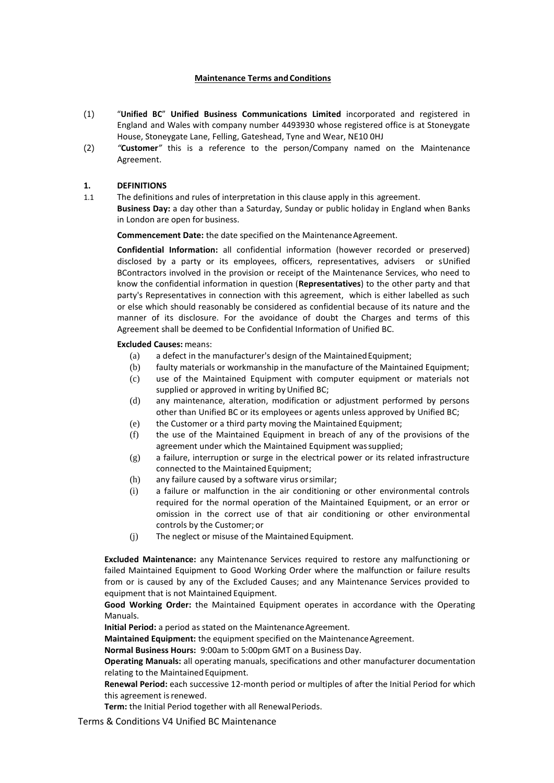#### **Maintenance Terms and Conditions**

- (1) "**Unified BC**" **Unified Business Communications Limited** incorporated and registered in England and Wales with company number 4493930 whose registered office is at Stoneygate House, Stoneygate Lane, Felling, Gateshead, Tyne and Wear, NE10 0HJ
- (2) *"***Customer***"* this is a reference to the person/Company named on the Maintenance Agreement.

#### **1. DEFINITIONS**

1.1 The definitions and rules of interpretation in this clause apply in this agreement.

**Business Day:** a day other than a Saturday, Sunday or public holiday in England when Banks in London are open for business.

**Commencement Date:** the date specified on the Maintenance Agreement.

**Confidential Information:** all confidential information (however recorded or preserved) disclosed by a party or its employees, officers, representatives, advisers or sUnified BContractors involved in the provision or receipt of the Maintenance Services, who need to know the confidential information in question (**Representatives**) to the other party and that party's Representatives in connection with this agreement, which is either labelled as such or else which should reasonably be considered as confidential because of its nature and the manner of its disclosure. For the avoidance of doubt the Charges and terms of this Agreement shall be deemed to be Confidential Information of Unified BC.

#### **Excluded Causes:** means:

- (a) a defect in the manufacturer's design of the MaintainedEquipment;
- (b) faulty materials or workmanship in the manufacture of the Maintained Equipment;
- (c) use of the Maintained Equipment with computer equipment or materials not supplied or approved in writing by Unified BC;
- (d) any maintenance, alteration, modification or adjustment performed by persons other than Unified BC or its employees or agents unless approved by Unified BC;
- (e) the Customer or a third party moving the Maintained Equipment;
- (f) the use of the Maintained Equipment in breach of any of the provisions of the agreement under which the Maintained Equipment wassupplied;
- (g) a failure, interruption or surge in the electrical power or its related infrastructure connected to the Maintained Equipment;
- (h) any failure caused by a software virus orsimilar;
- (i) a failure or malfunction in the air conditioning or other environmental controls required for the normal operation of the Maintained Equipment, or an error or omission in the correct use of that air conditioning or other environmental controls by the Customer; or
- (j) The neglect or misuse of the Maintained Equipment.

**Excluded Maintenance:** any Maintenance Services required to restore any malfunctioning or failed Maintained Equipment to Good Working Order where the malfunction or failure results from or is caused by any of the Excluded Causes; and any Maintenance Services provided to equipment that is not Maintained Equipment.

**Good Working Order:** the Maintained Equipment operates in accordance with the Operating Manuals.

**Initial Period:** a period as stated on the Maintenance Agreement.

**Maintained Equipment:** the equipment specified on the Maintenance Agreement.

**Normal Business Hours:** 9:00am to 5:00pm GMT on a BusinessDay.

**Operating Manuals:** all operating manuals, specifications and other manufacturer documentation relating to the Maintained Equipment.

**Renewal Period:** each successive 12-month period or multiples of after the Initial Period for which this agreement is renewed.

Term: the Initial Period together with all Renewal Periods.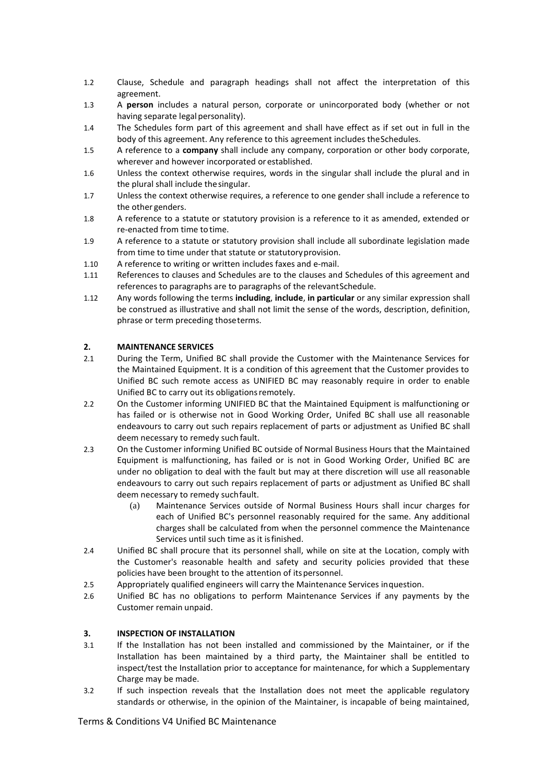- 1.2 Clause, Schedule and paragraph headings shall not affect the interpretation of this agreement.
- 1.3 A **person** includes a natural person, corporate or unincorporated body (whether or not having separate legal personality).
- 1.4 The Schedules form part of this agreement and shall have effect as if set out in full in the body of this agreement. Any reference to this agreement includes theSchedules.
- 1.5 A reference to a **company** shall include any company, corporation or other body corporate, wherever and however incorporated or established.
- 1.6 Unless the context otherwise requires, words in the singular shall include the plural and in the plural shall include thesingular.
- 1.7 Unless the context otherwise requires, a reference to one gender shall include a reference to the other genders.
- 1.8 A reference to a statute or statutory provision is a reference to it as amended, extended or re-enacted from time to time.
- 1.9 A reference to a statute or statutory provision shall include all subordinate legislation made from time to time under that statute or statutoryprovision.
- 1.10 A reference to writing or written includes faxes and e-mail.
- 1.11 References to clauses and Schedules are to the clauses and Schedules of this agreement and references to paragraphs are to paragraphs of the relevantSchedule.
- 1.12 Any words following the terms **including**, **include**, **in particular** or any similar expression shall be construed as illustrative and shall not limit the sense of the words, description, definition, phrase or term preceding thoseterms.

#### **2. MAINTENANCE SERVICES**

- 2.1 During the Term, Unified BC shall provide the Customer with the Maintenance Services for the Maintained Equipment. It is a condition of this agreement that the Customer provides to Unified BC such remote access as UNIFIED BC may reasonably require in order to enable Unified BC to carry out its obligationsremotely.
- 2.2 On the Customer informing UNIFIED BC that the Maintained Equipment is malfunctioning or has failed or is otherwise not in Good Working Order, Unifed BC shall use all reasonable endeavours to carry out such repairs replacement of parts or adjustment as Unified BC shall deem necessary to remedy such fault.
- 2.3 On the Customer informing Unified BC outside of Normal Business Hours that the Maintained Equipment is malfunctioning, has failed or is not in Good Working Order, Unified BC are under no obligation to deal with the fault but may at there discretion will use all reasonable endeavours to carry out such repairs replacement of parts or adjustment as Unified BC shall deem necessary to remedy suchfault.
	- (a) Maintenance Services outside of Normal Business Hours shall incur charges for each of Unified BC's personnel reasonably required for the same. Any additional charges shall be calculated from when the personnel commence the Maintenance Services until such time as it isfinished.
- 2.4 Unified BC shall procure that its personnel shall, while on site at the Location, comply with the Customer's reasonable health and safety and security policies provided that these policies have been brought to the attention of itspersonnel.
- 2.5 Appropriately qualified engineers will carry the Maintenance Services inquestion.
- 2.6 Unified BC has no obligations to perform Maintenance Services if any payments by the Customer remain unpaid.

#### **3. INSPECTION OF INSTALLATION**

- 3.1 If the Installation has not been installed and commissioned by the Maintainer, or if the Installation has been maintained by a third party, the Maintainer shall be entitled to inspect/test the Installation prior to acceptance for maintenance, for which a Supplementary Charge may be made.
- 3.2 If such inspection reveals that the Installation does not meet the applicable regulatory standards or otherwise, in the opinion of the Maintainer, is incapable of being maintained,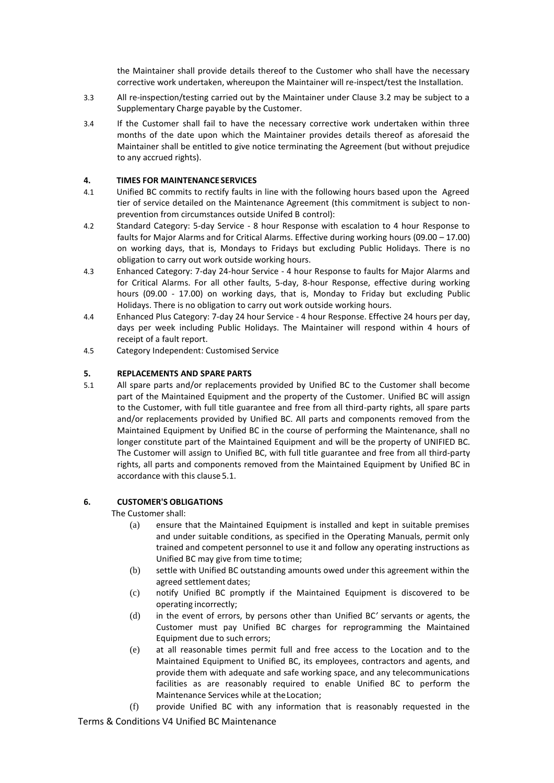the Maintainer shall provide details thereof to the Customer who shall have the necessary corrective work undertaken, whereupon the Maintainer will re-inspect/test the Installation.

- 3.3 All re-inspection/testing carried out by the Maintainer under Clause 3.2 may be subject to a Supplementary Charge payable by the Customer.
- 3.4 If the Customer shall fail to have the necessary corrective work undertaken within three months of the date upon which the Maintainer provides details thereof as aforesaid the Maintainer shall be entitled to give notice terminating the Agreement (but without prejudice to any accrued rights).

### **4. TIMES FOR MAINTENANCE SERVICES**

- 4.1 Unified BC commits to rectify faults in line with the following hours based upon the Agreed tier of service detailed on the Maintenance Agreement (this commitment is subject to nonprevention from circumstances outside Unifed B control):
- 4.2 Standard Category: 5-day Service 8 hour Response with escalation to 4 hour Response to faults for Major Alarms and for Critical Alarms. Effective during working hours (09.00 – 17.00) on working days, that is, Mondays to Fridays but excluding Public Holidays. There is no obligation to carry out work outside working hours.
- 4.3 Enhanced Category: 7-day 24-hour Service 4 hour Response to faults for Major Alarms and for Critical Alarms. For all other faults, 5-day, 8-hour Response, effective during working hours (09.00 - 17.00) on working days, that is, Monday to Friday but excluding Public Holidays. There is no obligation to carry out work outside working hours.
- 4.4 Enhanced Plus Category: 7-day 24 hour Service 4 hour Response. Effective 24 hours per day, days per week including Public Holidays. The Maintainer will respond within 4 hours of receipt of a fault report.
- 4.5 Category Independent: Customised Service

## **5. REPLACEMENTS AND SPARE PARTS**

<span id="page-2-0"></span>5.1 All spare parts and/or replacements provided by Unified BC to the Customer shall become part of the Maintained Equipment and the property of the Customer. Unified BC will assign to the Customer, with full title guarantee and free from all third-party rights, all spare parts and/or replacements provided by Unified BC. All parts and components removed from the Maintained Equipment by Unified BC in the course of performing the Maintenance, shall no longer constitute part of the Maintained Equipment and will be the property of UNIFIED BC. The Customer will assign to Unified BC, with full title guarantee and free from all third-party rights, all parts and components removed from the Maintained Equipment by Unified BC in accordance with this clause [5.1.](#page-2-0)

# **6. CUSTOMER'S OBLIGATIONS**

The Customer shall:

- (a) ensure that the Maintained Equipment is installed and kept in suitable premises and under suitable conditions, as specified in the Operating Manuals, permit only trained and competent personnel to use it and follow any operating instructions as Unified BC may give from time totime;
- (b) settle with Unified BC outstanding amounts owed under this agreement within the agreed settlement dates;
- (c) notify Unified BC promptly if the Maintained Equipment is discovered to be operating incorrectly;
- (d) in the event of errors, by persons other than Unified BC*'* servants or agents, the Customer must pay Unified BC charges for reprogramming the Maintained Equipment due to such errors;
- (e) at all reasonable times permit full and free access to the Location and to the Maintained Equipment to Unified BC, its employees, contractors and agents, and provide them with adequate and safe working space, and any telecommunications facilities as are reasonably required to enable Unified BC to perform the Maintenance Services while at theLocation;
- (f) provide Unified BC with any information that is reasonably requested in the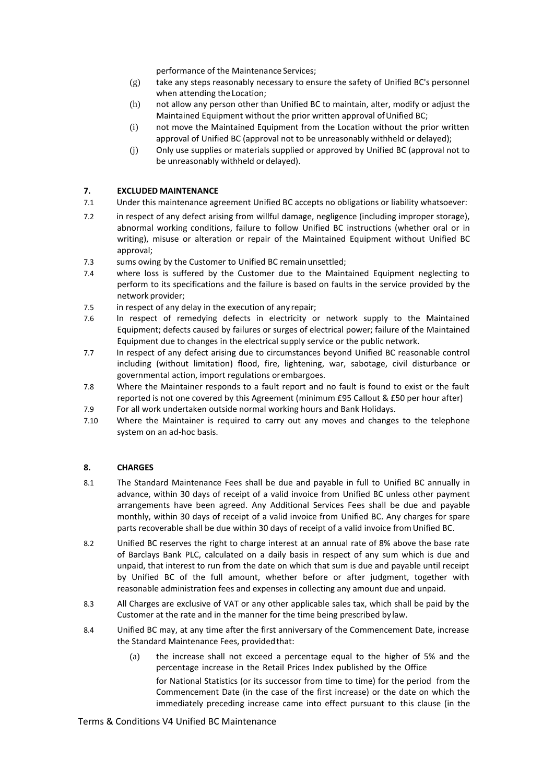performance of the Maintenance Services;

- (g) take any steps reasonably necessary to ensure the safety of Unified BC's personnel when attending the Location;
- (h) not allow any person other than Unified BC to maintain, alter, modify or adjust the Maintained Equipment without the prior written approval of Unified BC;
- (i) not move the Maintained Equipment from the Location without the prior written approval of Unified BC (approval not to be unreasonably withheld or delayed);
- (j) Only use supplies or materials supplied or approved by Unified BC (approval not to be unreasonably withheld or delayed).

## **7. EXCLUDED MAINTENANCE**

- 7.1 Under this maintenance agreement Unified BC accepts no obligations or liability whatsoever:
- 7.2 in respect of any defect arising from willful damage, negligence (including improper storage), abnormal working conditions, failure to follow Unified BC instructions (whether oral or in writing), misuse or alteration or repair of the Maintained Equipment without Unified BC approval;
- 7.3 sums owing by the Customer to Unified BC remain unsettled;
- 7.4 where loss is suffered by the Customer due to the Maintained Equipment neglecting to perform to its specifications and the failure is based on faults in the service provided by the network provider;
- 7.5 in respect of any delay in the execution of any repair;
- 7.6 In respect of remedying defects in electricity or network supply to the Maintained Equipment; defects caused by failures or surges of electrical power; failure of the Maintained Equipment due to changes in the electrical supply service or the public network.
- 7.7 In respect of any defect arising due to circumstances beyond Unified BC reasonable control including (without limitation) flood, fire, lightening, war, sabotage, civil disturbance or governmental action, import regulations orembargoes.
- 7.8 Where the Maintainer responds to a fault report and no fault is found to exist or the fault reported is not one covered by this Agreement (minimum £95 Callout & £50 per hour after)
- 7.9 For all work undertaken outside normal working hours and Bank Holidays.
- 7.10 Where the Maintainer is required to carry out any moves and changes to the telephone system on an ad-hoc basis.

# **8. CHARGES**

- 8.1 The Standard Maintenance Fees shall be due and payable in full to Unified BC annually in advance, within 30 days of receipt of a valid invoice from Unified BC unless other payment arrangements have been agreed. Any Additional Services Fees shall be due and payable monthly, within 30 days of receipt of a valid invoice from Unified BC. Any charges for spare parts recoverable shall be due within 30 days of receipt of a valid invoice fromUnified BC.
- 8.2 Unified BC reserves the right to charge interest at an annual rate of 8% above the base rate of Barclays Bank PLC, calculated on a daily basis in respect of any sum which is due and unpaid, that interest to run from the date on which that sum is due and payable until receipt by Unified BC of the full amount, whether before or after judgment, together with reasonable administration fees and expenses in collecting any amount due and unpaid.
- 8.3 All Charges are exclusive of VAT or any other applicable sales tax, which shall be paid by the Customer at the rate and in the manner for the time being prescribed bylaw.
- 8.4 Unified BC may, at any time after the first anniversary of the Commencement Date, increase the Standard Maintenance Fees, providedthat:
	- (a) the increase shall not exceed a percentage equal to the higher of 5% and the percentage increase in the Retail Prices Index published by the Office for National Statistics (or its successor from time to time) for the period from the Commencement Date (in the case of the first increase) or the date on which the immediately preceding increase came into effect pursuant to this clause (in the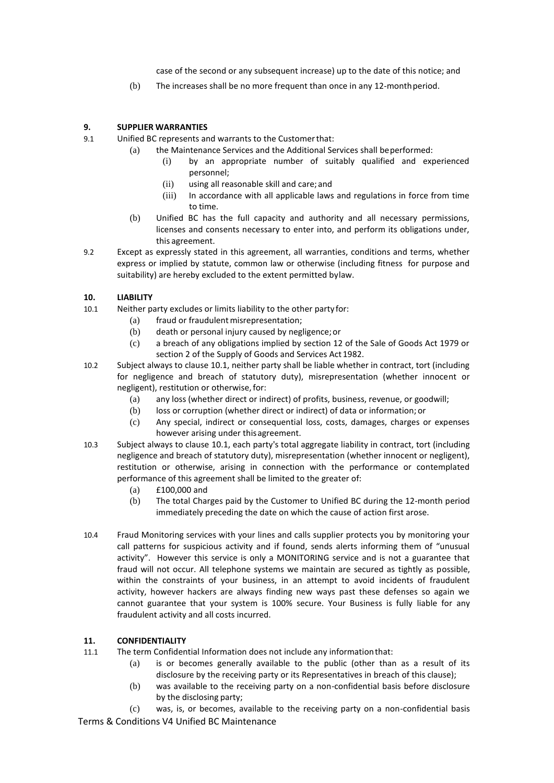case of the second or any subsequent increase) up to the date of this notice; and

(b) The increases shall be no more frequent than once in any 12-monthperiod.

# **9. SUPPLIER WARRANTIES**

- 9.1 Unified BC represents and warrants to the Customerthat:
	- (a) the Maintenance Services and the Additional Services shall beperformed:
		- (i) by an appropriate number of suitably qualified and experienced personnel;
		- (ii) using all reasonable skill and care;and
		- (iii) In accordance with all applicable laws and regulations in force from time to time.
		- (b) Unified BC has the full capacity and authority and all necessary permissions, licenses and consents necessary to enter into, and perform its obligations under, this agreement.
- 9.2 Except as expressly stated in this agreement, all warranties, conditions and terms, whether express or implied by statute, common law or otherwise (including fitness for purpose and suitability) are hereby excluded to the extent permitted bylaw.

# **10. LIABILITY**

- <span id="page-4-0"></span>10.1 Neither party excludes or limits liability to the other party for:
	- (a) fraud or fraudulent misrepresentation;
	- (b) death or personal injury caused by negligence;or
	- (c) a breach of any obligations implied by section 12 of the Sale of Goods Act 1979 or section 2 of the Supply of Goods and Services Act 1982.
- 10.2 Subject always to claus[e 10.1,](#page-4-0) neither party shall be liable whether in contract, tort (including for negligence and breach of statutory duty), misrepresentation (whether innocent or negligent), restitution or otherwise,for:
	- (a) any loss (whether direct or indirect) of profits, business, revenue, or goodwill;
	- (b) loss or corruption (whether direct or indirect) of data or information; or
	- (c) Any special, indirect or consequential loss, costs, damages, charges or expenses however arising under thisagreement.
- 10.3 Subject always to clause [10.1,](#page-4-0) each party's total aggregate liability in contract, tort (including negligence and breach of statutory duty), misrepresentation (whether innocent or negligent), restitution or otherwise, arising in connection with the performance or contemplated performance of this agreement shall be limited to the greater of:
	- (a) £100,000 and
	- (b) The total Charges paid by the Customer to Unified BC during the 12-month period immediately preceding the date on which the cause of action first arose.
- 10.4 Fraud Monitoring services with your lines and calls supplier protects you by monitoring your call patterns for suspicious activity and if found, sends alerts informing them of "unusual activity". However this service is only a MONITORING service and is not a guarantee that fraud will not occur. All telephone systems we maintain are secured as tightly as possible, within the constraints of your business, in an attempt to avoid incidents of fraudulent activity, however hackers are always finding new ways past these defenses so again we cannot guarantee that your system is 100% secure. Your Business is fully liable for any fraudulent activity and all costs incurred.

# <span id="page-4-1"></span>**11. CONFIDENTIALITY**

- 11.1 The term Confidential Information does not include any informationthat:
	- (a) is or becomes generally available to the public (other than as a result of its disclosure by the receiving party or its Representatives in breach of this clause);
	- (b) was available to the receiving party on a non-confidential basis before disclosure by the disclosing party;

Terms & Conditions V4 Unified BC Maintenance (c) was, is, or becomes, available to the receiving party on a non-confidential basis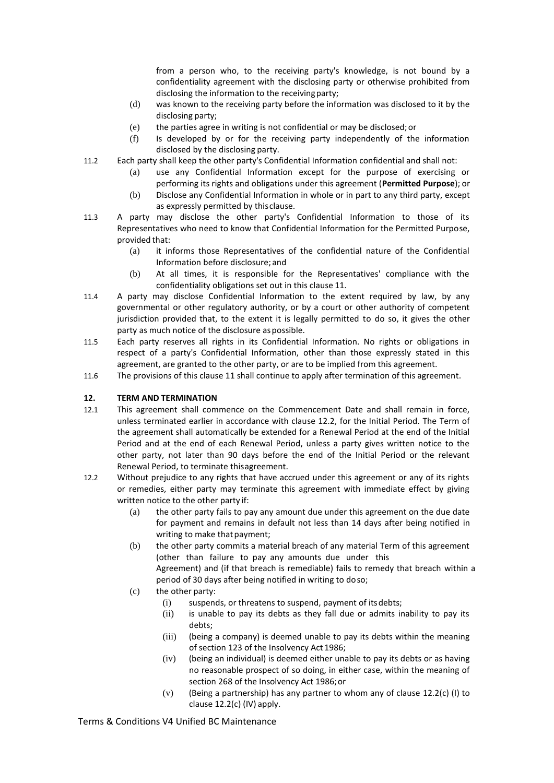from a person who, to the receiving party's knowledge, is not bound by a confidentiality agreement with the disclosing party or otherwise prohibited from disclosing the information to the receivingparty;

- (d) was known to the receiving party before the information was disclosed to it by the disclosing party;
- (e) the parties agree in writing is not confidential or may be disclosed;or
- (f) Is developed by or for the receiving party independently of the information disclosed by the disclosing party.
- 11.2 Each party shall keep the other party's Confidential Information confidential and shall not:
	- (a) use any Confidential Information except for the purpose of exercising or performing its rights and obligations under this agreement (**Permitted Purpose**); or
	- (b) Disclose any Confidential Information in whole or in part to any third party, except as expressly permitted by thisclause.
- 11.3 A party may disclose the other party's Confidential Information to those of its Representatives who need to know that Confidential Information for the Permitted Purpose, provided that:
	- (a) it informs those Representatives of the confidential nature of the Confidential Information before disclosure; and
	- (b) At all times, it is responsible for the Representatives' compliance with the confidentiality obligations set out in this clause [11](#page-4-1).
- 11.4 A party may disclose Confidential Information to the extent required by law, by any governmental or other regulatory authority, or by a court or other authority of competent jurisdiction provided that, to the extent it is legally permitted to do so, it gives the other party as much notice of the disclosure as possible.
- 11.5 Each party reserves all rights in its Confidential Information. No rights or obligations in respect of a party's Confidential Information, other than those expressly stated in this agreement, are granted to the other party, or are to be implied from this agreement.
- 11.6 The provisions of this claus[e 11](#page-4-1) shall continue to apply after termination of this agreement.

# <span id="page-5-4"></span>**12. TERM AND TERMINATION**

- 12.1 This agreement shall commence on the Commencement Date and shall remain in force, unless terminated earlier in accordance with clause [12.2,](#page-5-0) for the Initial Period. The Term of the agreement shall automatically be extended for a Renewal Period at the end of the Initial Period and at the end of each Renewal Period, unless a party gives written notice to the other party, not later than 90 days before the end of the Initial Period or the relevant Renewal Period, to terminate thisagreement.
- <span id="page-5-0"></span>12.2 Without prejudice to any rights that have accrued under this agreement or any of its rights or remedies, either party may terminate this agreement with immediate effect by giving written notice to the other party if:
	- (a) the other party fails to pay any amount due under this agreement on the due date for payment and remains in default not less than 14 days after being notified in writing to make that payment;
	- (b) the other party commits a material breach of any material Term of this agreement (other than failure to pay any amounts due under this

Agreement) and (if that breach is remediable) fails to remedy that breach within a period of 30 days after being notified in writing to doso;

- <span id="page-5-3"></span><span id="page-5-2"></span><span id="page-5-1"></span>(c) the other party:
	- (i) suspends, or threatens to suspend, payment of itsdebts;
	- (ii) is unable to pay its debts as they fall due or admits inability to pay its debts;
	- (iii) (being a company) is deemed unable to pay its debts within the meaning of section 123 of the Insolvency Act 1986;
	- (iv) (being an individual) is deemed either unable to pay its debts or as having no reasonable prospect of so doing, in either case, within the meaning of section 268 of the Insolvency Act 1986;or
	- (v) (Being a partnership) has any partner to whom any of clause [12.2\(c\) \(I\)](#page-5-1) to clause [12.2\(c\) \(IV\)](#page-5-2) apply.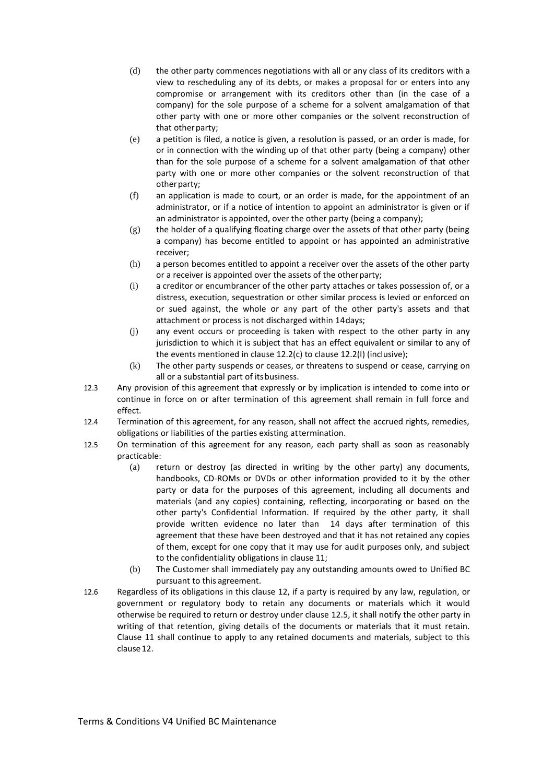- (d) the other party commences negotiations with all or any class of its creditors with a view to rescheduling any of its debts, or makes a proposal for or enters into any compromise or arrangement with its creditors other than (in the case of a company) for the sole purpose of a scheme for a solvent amalgamation of that other party with one or more other companies or the solvent reconstruction of that other party;
- (e) a petition is filed, a notice is given, a resolution is passed, or an order is made, for or in connection with the winding up of that other party (being a company) other than for the sole purpose of a scheme for a solvent amalgamation of that other party with one or more other companies or the solvent reconstruction of that other party;
- (f) an application is made to court, or an order is made, for the appointment of an administrator, or if a notice of intention to appoint an administrator is given or if an administrator is appointed, over the other party (being a company);
- (g) the holder of a qualifying floating charge over the assets of that other party (being a company) has become entitled to appoint or has appointed an administrative receiver;
- (h) a person becomes entitled to appoint a receiver over the assets of the other party or a receiver is appointed over the assets of the otherparty;
- <span id="page-6-0"></span>(i) a creditor or encumbrancer of the other party attaches or takes possession of, or a distress, execution, sequestration or other similar process is levied or enforced on or sued against, the whole or any part of the other party's assets and that attachment or process is not discharged within 14days;
- (j) any event occurs or proceeding is taken with respect to the other party in any jurisdiction to which it is subject that has an effect equivalent or similar to any of the events mentioned in claus[e 12.2\(c\)](#page-5-3) to claus[e 12.2\(I\)](#page-6-0) (inclusive);
- (k) The other party suspends or ceases, or threatens to suspend or cease, carrying on all or a substantial part of itsbusiness.
- 12.3 Any provision of this agreement that expressly or by implication is intended to come into or continue in force on or after termination of this agreement shall remain in full force and effect.
- 12.4 Termination of this agreement, for any reason, shall not affect the accrued rights, remedies, obligations or liabilities of the parties existing attermination.
- <span id="page-6-1"></span>12.5 On termination of this agreement for any reason, each party shall as soon as reasonably practicable:
	- (a) return or destroy (as directed in writing by the other party) any documents, handbooks, CD-ROMs or DVDs or other information provided to it by the other party or data for the purposes of this agreement, including all documents and materials (and any copies) containing, reflecting, incorporating or based on the other party's Confidential Information. If required by the other party, it shall provide written evidence no later than 14 days after termination of this agreement that these have been destroyed and that it has not retained any copies of them, except for one copy that it may use for audit purposes only, and subject to the confidentiality obligations in clause [11](#page-4-1);
	- (b) The Customer shall immediately pay any outstanding amounts owed to Unified BC pursuant to this agreement.
- 12.6 Regardless of its obligations in this clause [12,](#page-5-4) if a party is required by any law, regulation, or government or regulatory body to retain any documents or materials which it would otherwise be required to return or destroy under clause [12.5,](#page-6-1) it shall notify the other party in writing of that retention, giving details of the documents or materials that it must retain. Clause [11](#page-4-1) shall continue to apply to any retained documents and materials, subject to this claus[e12.](#page-5-4)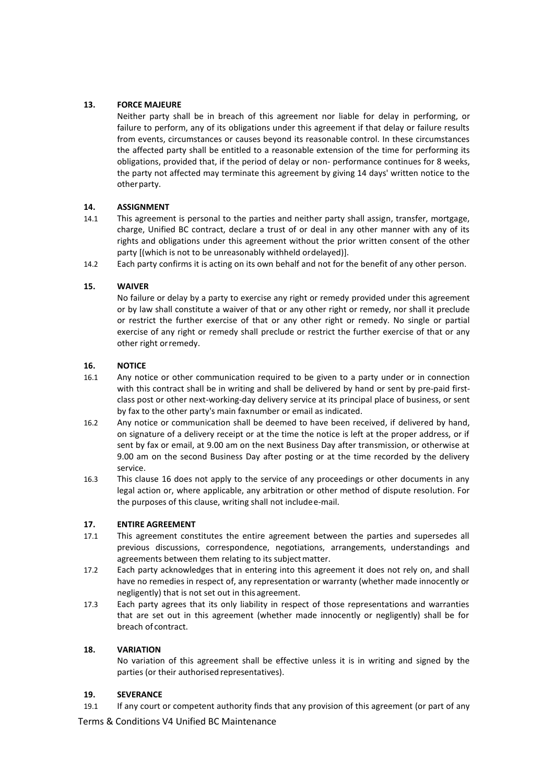## **13. FORCE MAJEURE**

Neither party shall be in breach of this agreement nor liable for delay in performing, or failure to perform, any of its obligations under this agreement if that delay or failure results from events, circumstances or causes beyond its reasonable control. In these circumstances the affected party shall be entitled to a reasonable extension of the time for performing its obligations, provided that, if the period of delay or non- performance continues for 8 weeks, the party not affected may terminate this agreement by giving 14 days' written notice to the other party.

#### **14. ASSIGNMENT**

- 14.1 This agreement is personal to the parties and neither party shall assign, transfer, mortgage, charge, Unified BC contract, declare a trust of or deal in any other manner with any of its rights and obligations under this agreement without the prior written consent of the other party [(which is not to be unreasonably withheld ordelayed)].
- 14.2 Each party confirms it is acting on its own behalf and not for the benefit of any other person.

## **15. WAIVER**

No failure or delay by a party to exercise any right or remedy provided under this agreement or by law shall constitute a waiver of that or any other right or remedy, nor shall it preclude or restrict the further exercise of that or any other right or remedy. No single or partial exercise of any right or remedy shall preclude or restrict the further exercise of that or any other right orremedy.

## <span id="page-7-0"></span>**16. NOTICE**

- 16.1 Any notice or other communication required to be given to a party under or in connection with this contract shall be in writing and shall be delivered by hand or sent by pre-paid firstclass post or other next-working-day delivery service at its principal place of business, or sent by fax to the other party's main faxnumber or email as indicated.
- 16.2 Any notice or communication shall be deemed to have been received, if delivered by hand, on signature of a delivery receipt or at the time the notice is left at the proper address, or if sent by fax or email, at 9.00 am on the next Business Day after transmission, or otherwise at 9.00 am on the second Business Day after posting or at the time recorded by the delivery service.
- 16.3 This clause [16](#page-7-0) does not apply to the service of any proceedings or other documents in any legal action or, where applicable, any arbitration or other method of dispute resolution. For the purposes of this clause, writing shall not includee-mail.

#### **17. ENTIRE AGREEMENT**

- 17.1 This agreement constitutes the entire agreement between the parties and supersedes all previous discussions, correspondence, negotiations, arrangements, understandings and agreements between them relating to its subject matter.
- 17.2 Each party acknowledges that in entering into this agreement it does not rely on, and shall have no remedies in respect of, any representation or warranty (whether made innocently or negligently) that is not set out in this agreement.
- 17.3 Each party agrees that its only liability in respect of those representations and warranties that are set out in this agreement (whether made innocently or negligently) shall be for breach of contract.

#### **18. VARIATION**

No variation of this agreement shall be effective unless it is in writing and signed by the parties (or their authorised representatives).

# **19. SEVERANCE**

19.1 If any court or competent authority finds that any provision of this agreement (or part of any